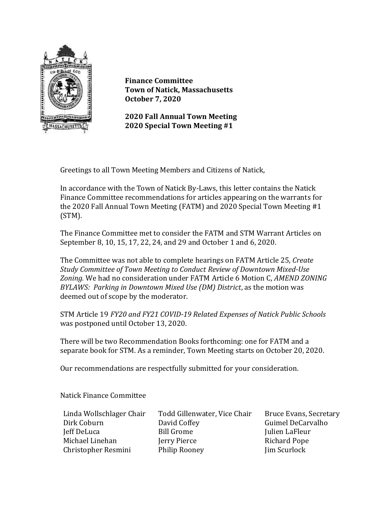

**Finance Committee Town of Natick, Massachusetts October 7, 2020**

**2020 Fall Annual Town Meeting 2020 Special Town Meeting #1**

Greetings to all Town Meeting Members and Citizens of Natick,

In accordance with the Town of Natick By-Laws, this letter contains the Natick Finance Committee recommendations for articles appearing on the warrants for the 2020 Fall Annual Town Meeting (FATM) and 2020 Special Town Meeting #1 (STM).

The Finance Committee met to consider the FATM and STM Warrant Articles on September 8, 10, 15, 17, 22, 24, and 29 and October 1 and 6, 2020.

The Committee was not able to complete hearings on FATM Article 25, *Create Study Committee of Town Meeting to Conduct Review of Downtown Mixed-Use Zoning.* We had no consideration under FATM Article 6 Motion C, *AMEND ZONING BYLAWS: Parking in Downtown Mixed Use (DM) District*, as the motion was deemed out of scope by the moderator.

STM Article 19 *FY20 and FY21 COVID-19 Related Expenses of Natick Public Schools* was postponed until October 13, 2020.

There will be two Recommendation Books forthcoming: one for FATM and a separate book for STM. As a reminder, Town Meeting starts on October 20, 2020.

Our recommendations are respectfully submitted for your consideration.

Natick Finance Committee

| Linda Wollschlager Chair |
|--------------------------|
| Dirk Coburn              |
| Jeff DeLuca              |
| Michael Linehan          |
| Christopher Resmini      |

Todd Gillenwater, Vice Chair Bruce Evans, Secretary David Coffey Guimel DeCarvalho Bill Grome Julien LaFleur **Terry Pierce** Richard Pope Philip Rooney Jim Scurlock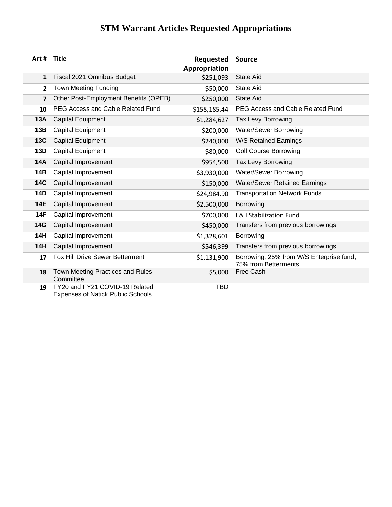## **STM Warrant Articles Requested Appropriations**

| Art#       | <b>Title</b>                                                               | Requested     | <b>Source</b>                                                    |
|------------|----------------------------------------------------------------------------|---------------|------------------------------------------------------------------|
|            |                                                                            | Appropriation |                                                                  |
| 1          | Fiscal 2021 Omnibus Budget                                                 | \$251,093     | <b>State Aid</b>                                                 |
| 2          | <b>Town Meeting Funding</b>                                                | \$50,000      | <b>State Aid</b>                                                 |
| 7          | Other Post-Employment Benefits (OPEB)                                      | \$250,000     | <b>State Aid</b>                                                 |
| 10         | PEG Access and Cable Related Fund                                          | \$158,185.44  | PEG Access and Cable Related Fund                                |
| 13A        | <b>Capital Equipment</b>                                                   | \$1,284,627   | Tax Levy Borrowing                                               |
| 13B        | Capital Equipment                                                          | \$200,000     | Water/Sewer Borrowing                                            |
| <b>13C</b> | Capital Equipment                                                          | \$240,000     | W/S Retained Earnings                                            |
| 13D        | Capital Equipment                                                          | \$80,000      | <b>Golf Course Borrowing</b>                                     |
| <b>14A</b> | Capital Improvement                                                        | \$954,500     | Tax Levy Borrowing                                               |
| <b>14B</b> | Capital Improvement                                                        | \$3,930,000   | Water/Sewer Borrowing                                            |
| <b>14C</b> | Capital Improvement                                                        | \$150,000     | <b>Water/Sewer Retained Earnings</b>                             |
| <b>14D</b> | Capital Improvement                                                        | \$24,984.90   | <b>Transportation Network Funds</b>                              |
| <b>14E</b> | Capital Improvement                                                        | \$2,500,000   | Borrowing                                                        |
| <b>14F</b> | Capital Improvement                                                        | \$700,000     | I & I Stabilization Fund                                         |
| <b>14G</b> | Capital Improvement                                                        | \$450,000     | Transfers from previous borrowings                               |
| 14H        | Capital Improvement                                                        | \$1,328,601   | Borrowing                                                        |
| <b>14H</b> | Capital Improvement                                                        | \$546,399     | Transfers from previous borrowings                               |
| 17         | Fox Hill Drive Sewer Betterment                                            | \$1,131,900   | Borrowing; 25% from W/S Enterprise fund,<br>75% from Betterments |
| 18         | Town Meeting Practices and Rules<br>Committee                              | \$5,000       | Free Cash                                                        |
| 19         | FY20 and FY21 COVID-19 Related<br><b>Expenses of Natick Public Schools</b> | <b>TBD</b>    |                                                                  |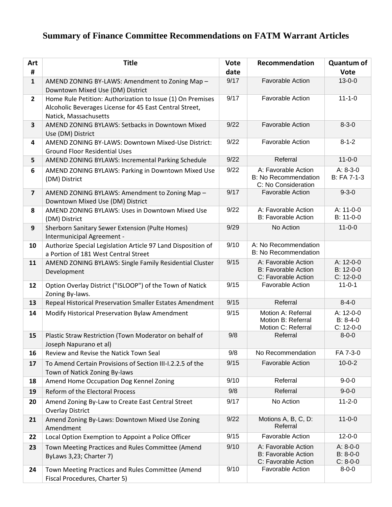## **Summary of Finance Committee Recommendations on FATM Warrant Articles**

| Art<br>#                | <b>Title</b>                                                                                                                                   | <b>Vote</b><br>date | Recommendation                                                            | <b>Quantum of</b><br><b>Vote</b>       |
|-------------------------|------------------------------------------------------------------------------------------------------------------------------------------------|---------------------|---------------------------------------------------------------------------|----------------------------------------|
| $\mathbf{1}$            | AMEND ZONING BY-LAWS: Amendment to Zoning Map -<br>Downtown Mixed Use (DM) District                                                            | 9/17                | <b>Favorable Action</b>                                                   | $13 - 0 - 0$                           |
| $\overline{2}$          | Home Rule Petition: Authorization to Issue (1) On Premises<br>Alcoholic Beverages License for 45 East Central Street,<br>Natick, Massachusetts | 9/17                | Favorable Action                                                          | $11 - 1 - 0$                           |
| $\overline{\mathbf{3}}$ | AMEND ZONING BYLAWS: Setbacks in Downtown Mixed<br>Use (DM) District                                                                           | 9/22                | <b>Favorable Action</b>                                                   | $8 - 3 - 0$                            |
| 4                       | AMEND ZONING BY-LAWS: Downtown Mixed-Use District:<br><b>Ground Floor Residential Uses</b>                                                     | 9/22                | <b>Favorable Action</b>                                                   | $8 - 1 - 2$                            |
| 5                       | AMEND ZONING BYLAWS: Incremental Parking Schedule                                                                                              | 9/22                | Referral                                                                  | $11 - 0 - 0$                           |
| 6                       | AMEND ZONING BYLAWS: Parking in Downtown Mixed Use<br>(DM) District                                                                            | 9/22                | A: Favorable Action<br><b>B: No Recommendation</b><br>C: No Consideration | $A: 8-3-0$<br>B: FA 7-1-3              |
| $\overline{\mathbf{z}}$ | AMEND ZONING BYLAWS: Amendment to Zoning Map -<br>Downtown Mixed Use (DM) District                                                             | 9/17                | <b>Favorable Action</b>                                                   | $9 - 3 - 0$                            |
| 8                       | AMEND ZONING BYLAWS: Uses in Downtown Mixed Use<br>(DM) District                                                                               | 9/22                | A: Favorable Action<br><b>B: Favorable Action</b>                         | A: 11-0-0<br>B: 11-0-0                 |
| 9                       | Sherborn Sanitary Sewer Extension (Pulte Homes)<br>Intermunicipal Agreement -                                                                  | 9/29                | No Action                                                                 | $11 - 0 - 0$                           |
| 10                      | Authorize Special Legislation Article 97 Land Disposition of<br>a Portion of 181 West Central Street                                           | 9/10                | A: No Recommendation<br><b>B: No Recommendation</b>                       |                                        |
| 11                      | AMEND ZONING BYLAWS: Single Family Residential Cluster<br>Development                                                                          | 9/15                | A: Favorable Action<br><b>B: Favorable Action</b><br>C: Favorable Action  | A: 12-0-0<br>B: 12-0-0<br>$C: 12-0-0$  |
| 12                      | Option Overlay District ("ISLOOP") of the Town of Natick<br>Zoning By-laws.                                                                    | 9/15                | <b>Favorable Action</b>                                                   | $11 - 0 - 1$                           |
| 13                      | Repeal Historical Preservation Smaller Estates Amendment                                                                                       | 9/15                | Referral                                                                  | $8 - 4 - 0$                            |
| 14                      | Modify Historical Preservation Bylaw Amendment                                                                                                 | 9/15                | Motion A: Referral<br>Motion B: Referral<br>Motion C: Referral            | A: 12-0-0<br>$B: 8-4-0$<br>C: 12-0-0   |
| 15                      | Plastic Straw Restriction (Town Moderator on behalf of<br>Joseph Napurano et al)                                                               | 9/8                 | Referral                                                                  | $8 - 0 - 0$                            |
| 16                      | Review and Revise the Natick Town Seal                                                                                                         | 9/8                 | No Recommendation                                                         | FA 7-3-0                               |
| 17                      | To Amend Certain Provisions of Section III-I.2.2.5 of the<br>Town of Natick Zoning By-laws                                                     | 9/15                | <b>Favorable Action</b>                                                   | $10 - 0 - 2$                           |
| 18                      | Amend Home Occupation Dog Kennel Zoning                                                                                                        | 9/10                | Referral                                                                  | $9 - 0 - 0$                            |
| 19                      | Reform of the Electoral Process                                                                                                                | 9/8                 | Referral                                                                  | $9 - 0 - 0$                            |
| 20                      | Amend Zoning By-Law to Create East Central Street<br><b>Overlay District</b>                                                                   | 9/17                | No Action                                                                 | $11 - 2 - 0$                           |
| 21                      | Amend Zoning By-Laws: Downtown Mixed Use Zoning<br>Amendment                                                                                   | 9/22                | Motions A, B, C, D:<br>Referral                                           | $11 - 0 - 0$                           |
| 22                      | Local Option Exemption to Appoint a Police Officer                                                                                             | 9/15                | <b>Favorable Action</b>                                                   | $12 - 0 - 0$                           |
| 23                      | Town Meeting Practices and Rules Committee (Amend<br>ByLaws 3,23; Charter 7)                                                                   | 9/10                | A: Favorable Action<br><b>B: Favorable Action</b><br>C: Favorable Action  | $A: 8-0-0$<br>$B: 8-0-0$<br>$C: 8-0-0$ |
| 24                      | Town Meeting Practices and Rules Committee (Amend<br>Fiscal Procedures, Charter 5)                                                             | 9/10                | <b>Favorable Action</b>                                                   | $8 - 0 - 0$                            |